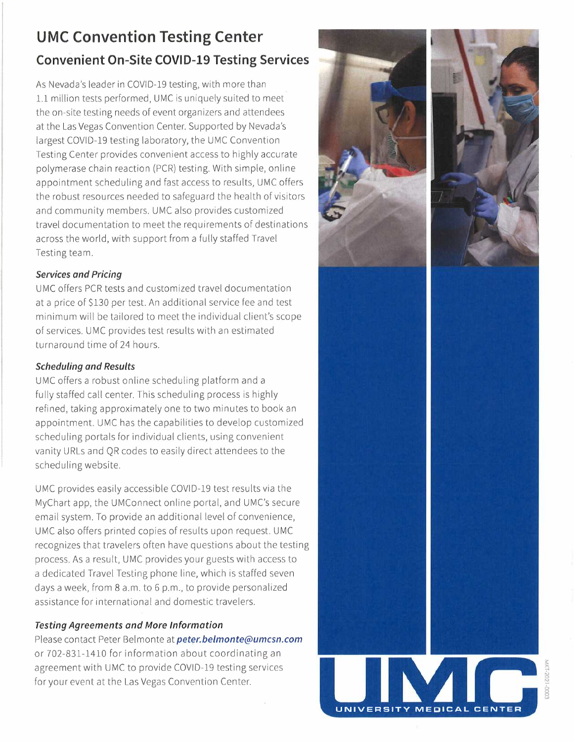## **UMC Convention Testing Center Convenient On-Site COVID-19 Testing Services**

As Nevada's leader in COVID-19 testing, with more than 1.1 million tests performed, UMC is uniquely suited to meet the on-site testing needs of event organizers and attendees at the Las Vegas Convention Center. Supported by Nevada's largest COVID-19 testing laboratory, the UMC Convention Testing Center provides convenient access to highly accurate polymerase chain reaction (PCR) testing. With simple, online appointment scheduling and fast access to results, UMC offers the robust resources needed to safeguard the health of visitors and community members. UMC also provides customized travel documentation to meet the requirements of destinations across the world, with support from a fully staffed Travel Testing team.

#### *Services and Pricing*

UMC offers PCR tests and customized travel documentation at a price of \$130 per test. An additional service fee and test minimum will be tailored to meet the individual client's scope of services. UMC provides test results with an estimated turnaround time of 24 hours.

### *Scheduling and Results*

UMC offers a robust online scheduling platform and a fully staffed call center. This scheduling process is highly refined, taking approximately one to two minutes to book an appointment. UMC has the capabilities to develop customized scheduling portals for individual clients, using convenient vanity URLs and QR codes to easily direct attendees to the scheduling website.

UMC provides easily accessible COVID-19 test results via the MyChart app, the UMConnect online portal, and UMC's secure email system. To provide an additional level of convenience, UMC also offers printed copies of results upon request. UMC recognizes that travelers often have questions about the testing process. As a result, UMC provides your guests with access to a dedicated Travel Testing phone line, which is staffed seven days a week, from 8 a.m. to 6 p.m., to provide personalized assistance for international and domestic travelers.

### *Testing Agreements and More Information*

Please contact Peter Belmonte at *peter.belmonte@umcsn.com*  or 702-831-1410 for information about coordinating an agreement with UMC to provide COVID-19 testing services for your event at the Las Vegas Convention Center.